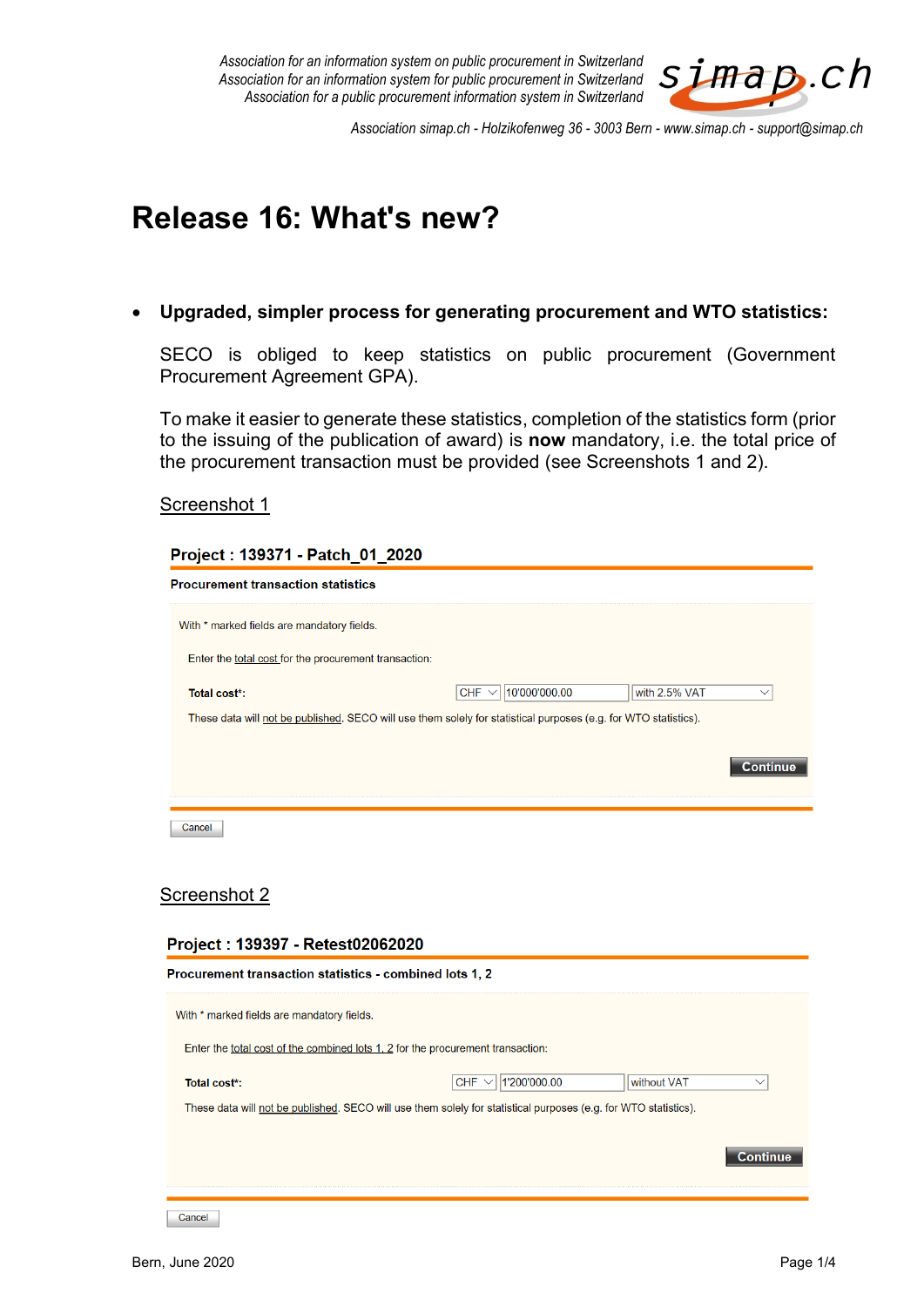*Association for an information system on public procurement in Switzerland Association for an information system for public procurement in Switzerland Association for a public procurement information system in Switzerland*



*Association simap.ch - Holzikofenweg 36 - 3003 Bern - www.simap.ch - support@simap.ch*

# **Release 16: What's new?**

**Upgraded, simpler process for generating procurement and WTO statistics:**

SECO is obliged to keep statistics on public procurement (Government Procurement Agreement GPA).

To make it easier to generate these statistics, completion of the statistics form (prior to the issuing of the publication of award) is **now** mandatory, i.e. the total price of the procurement transaction must be provided (see Screenshots 1 and 2).

#### Screenshot 1

| Project: 139371 - Patch_01_2020                                                                                 |                             |               |          |
|-----------------------------------------------------------------------------------------------------------------|-----------------------------|---------------|----------|
| <b>Procurement transaction statistics</b>                                                                       |                             |               |          |
| With * marked fields are mandatory fields.                                                                      |                             |               |          |
| Enter the total cost for the procurement transaction:                                                           |                             |               |          |
| Total cost*:                                                                                                    | 10'000'000.00<br>CHF $\vee$ | with 2.5% VAT |          |
| These data will not be published. SECO will use them solely for statistical purposes (e.g. for WTO statistics). |                             |               |          |
|                                                                                                                 |                             |               |          |
|                                                                                                                 |                             |               | Continue |
|                                                                                                                 |                             |               |          |
| Cancel                                                                                                          |                             |               |          |
|                                                                                                                 |                             |               |          |
|                                                                                                                 |                             |               |          |

## Screenshot 2

#### Project: 139397 - Retest02062020

| Procurement transaction statistics - combined lots 1, 2 |                                                                                                                 |                 |
|---------------------------------------------------------|-----------------------------------------------------------------------------------------------------------------|-----------------|
| With * marked fields are mandatory fields.              |                                                                                                                 |                 |
|                                                         | Enter the total cost of the combined lots 1, 2 for the procurement transaction:                                 |                 |
| Total cost*:                                            | 1'200'000.00<br><b>CHF</b>                                                                                      | without VAT     |
|                                                         | These data will not be published. SECO will use them solely for statistical purposes (e.g. for WTO statistics). |                 |
|                                                         |                                                                                                                 | <b>Continue</b> |

Cancel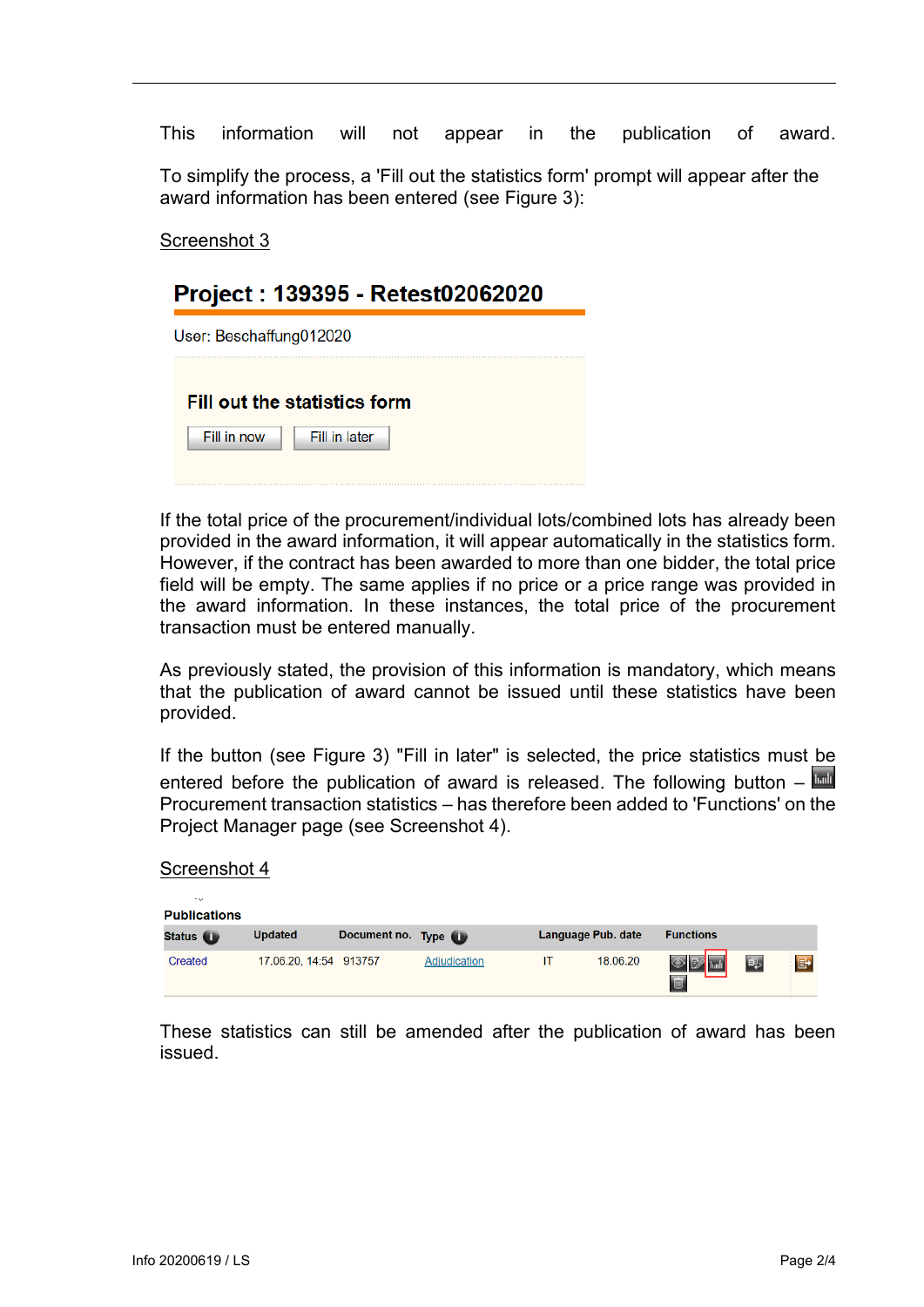This information will not appear in the publication of award.

To simplify the process, a 'Fill out the statistics form' prompt will appear after the award information has been entered (see Figure 3):

Screenshot 3

# Project: 139395 - Retest02062020

| User: Beschaffung012020 |                                     |  |
|-------------------------|-------------------------------------|--|
|                         | <b>Fill out the statistics form</b> |  |
| Fill in now             | Fill in later                       |  |

If the total price of the procurement/individual lots/combined lots has already been provided in the award information, it will appear automatically in the statistics form. However, if the contract has been awarded to more than one bidder, the total price field will be empty. The same applies if no price or a price range was provided in the award information. In these instances, the total price of the procurement transaction must be entered manually.

As previously stated, the provision of this information is mandatory, which means that the publication of award cannot be issued until these statistics have been provided.

If the button (see Figure 3) "Fill in later" is selected, the price statistics must be entered before the publication of award is released. The following button  $-\Box$ Procurement transaction statistics – has therefore been added to 'Functions' on the Project Manager page (see Screenshot 4).

| $-1.5$<br><b>Publications</b> |                        |                   |              |  |                    |                        |   |                |
|-------------------------------|------------------------|-------------------|--------------|--|--------------------|------------------------|---|----------------|
| Status <b>U</b>               | <b>Updated</b>         | Document no. Type |              |  | Language Pub. date | <b>Functions</b>       |   |                |
| Created                       | 17.06.20, 14:54 913757 |                   | Adjudication |  | 18.06.20           | $\overline{\otimes}$ D | 雫 | $\blacksquare$ |

These statistics can still be amended after the publication of award has been issued.

Screenshot 4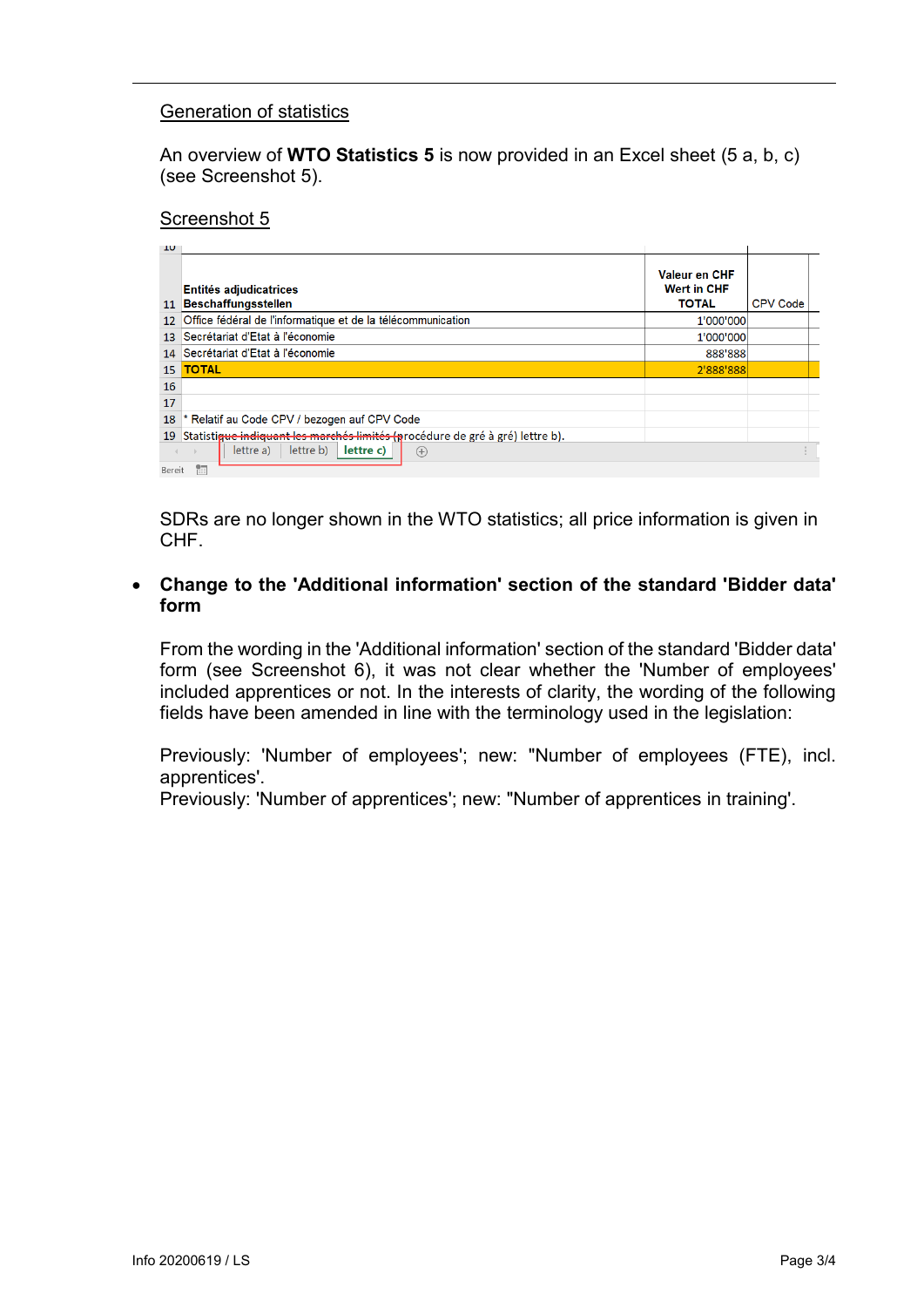#### Generation of statistics

An overview of **WTO Statistics 5** is now provided in an Excel sheet (5 a, b, c) (see Screenshot 5).

#### Screenshot 5

| <b>TO</b>         |                                                                               |                                                     |                 |  |
|-------------------|-------------------------------------------------------------------------------|-----------------------------------------------------|-----------------|--|
| 11                | <b>Entités adjudicatrices</b><br><b>Beschaffungsstellen</b>                   | Valeur en CHF<br><b>Wert in CHF</b><br><b>TOTAL</b> | <b>CPV Code</b> |  |
| $12 \overline{ }$ | Office fédéral de l'informatique et de la télécommunication                   | 1'000'000                                           |                 |  |
| 13 <sup>°</sup>   | Secrétariat d'Etat à l'économie                                               | 1'000'000                                           |                 |  |
| 14                | Secrétariat d'Etat à l'économie                                               | 888'888                                             |                 |  |
| 15 <sup>7</sup>   | <b>TOTAL</b>                                                                  | 2'888'888                                           |                 |  |
| 16                |                                                                               |                                                     |                 |  |
| 17                |                                                                               |                                                     |                 |  |
| 18                | * Relatif au Code CPV / bezogen auf CPV Code                                  |                                                     |                 |  |
| 19                | Statistique indiquant les marchés limités (procédure de gré à gré) lettre b). |                                                     |                 |  |
| Bereit            | lettre b)<br>lettre c)<br>lettre a)<br>$^{(+)}$<br>體                          |                                                     |                 |  |

SDRs are no longer shown in the WTO statistics; all price information is given in CHF.

#### **Change to the 'Additional information' section of the standard 'Bidder data' form**

From the wording in the 'Additional information' section of the standard 'Bidder data' form (see Screenshot 6), it was not clear whether the 'Number of employees' included apprentices or not. In the interests of clarity, the wording of the following fields have been amended in line with the terminology used in the legislation:

Previously: 'Number of employees'; new: "Number of employees (FTE), incl. apprentices'.

Previously: 'Number of apprentices'; new: "Number of apprentices in training'.